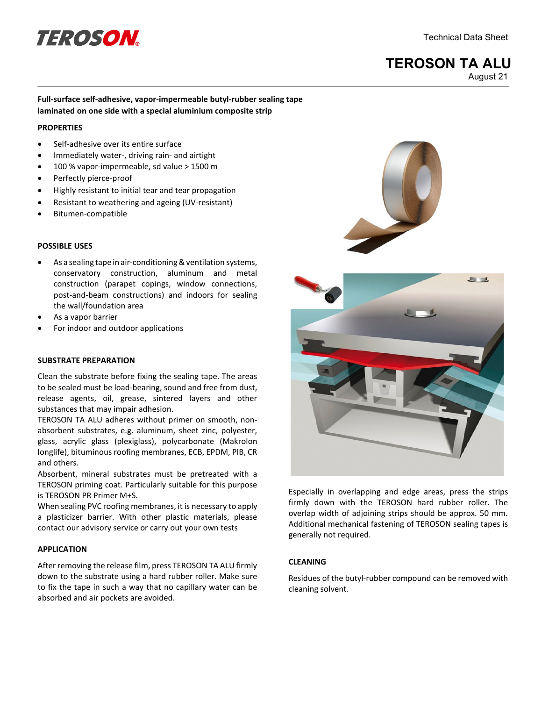# definition of the Contract of the Contract October 1991 and the Contract October 1991 and Sheet

# **TEROSON TA ALU** August 21

# **Full-surface self-adhesive, vapor-impermeable butyl-rubber sealing tape laminated on one side with a special aluminium composite strip**

#### **PROPERTIES**

- Self-adhesive over its entire surface
- Immediately water-, driving rain- and airtight
- 100 % vapor-impermeable, sd value > 1500 m
- Perfectly pierce-proof
- Highly resistant to initial tear and tear propagation
- Resistant to weathering and ageing (UV-resistant)
- Bitumen-compatible

# **POSSIBLE USES**

- As a sealing tape in air-conditioning & ventilation systems, conservatory construction, aluminum and metal construction (parapet copings, window connections, post-and-beam constructions) and indoors for sealing the wall/foundation area
- As a vapor barrier
- For indoor and outdoor applications

## **SUBSTRATE PREPARATION**

Clean the substrate before fixing the sealing tape. The areas to be sealed must be load-bearing, sound and free from dust, release agents, oil, grease, sintered layers and other substances that may impair adhesion.

TEROSON TA ALU adheres without primer on smooth, nonabsorbent substrates, e.g. aluminum, sheet zinc, polyester, glass, acrylic glass (plexiglass), polycarbonate (Makrolon longlife), bituminous roofing membranes, ECB, EPDM, PIB, CR and others.

Absorbent, mineral substrates must be pretreated with a TEROSON priming coat. Particularly suitable for this purpose is TEROSON PR Primer M+S.

When sealing PVC roofing membranes, it is necessary to apply a plasticizer barrier. With other plastic materials, please contact our advisory service or carry out your own tests

### **APPLICATION**

After removing the release film, press TEROSON TA ALU firmly down to the substrate using a hard rubber roller. Make sure to fix the tape in such a way that no capillary water can be absorbed and air pockets are avoided.





Especially in overlapping and edge areas, press the strips firmly down with the TEROSON hard rubber roller. The overlap width of adjoining strips should be approx. 50 mm. Additional mechanical fastening of TEROSON sealing tapes is generally not required.

# **CLEANING**

Residues of the butyl-rubber compound can be removed with cleaning solvent.